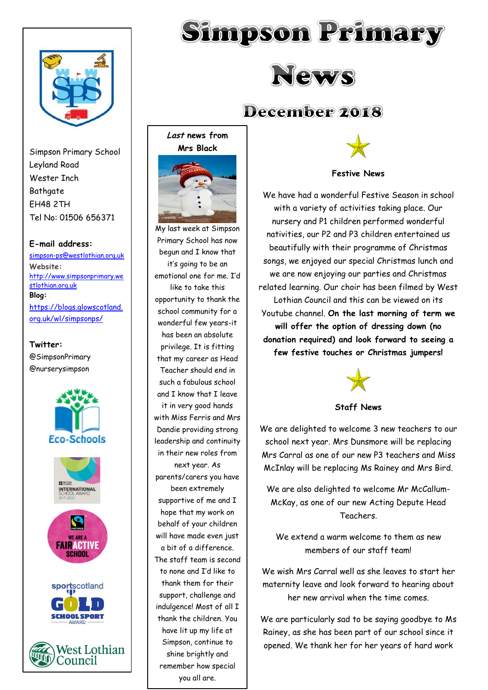

Simpson Primary School Leyland Road Wester Inch **Bathgate** EH48 2TH Tel No: 01506 656371

#### **E-mail address:**

[simpson-ps@westlothian.org.uk](mailto:simpson-ps@westlothian.org.uk) **Website:** [http://www.simpsonprimary.we](http://www.simpsonprimary.westlothian.org.uk/) [stlothian.org.uk](http://www.simpsonprimary.westlothian.org.uk/) **Blog:** [https://blogs.glowscotland.](https://blogs.glowscotland.org.uk/wl/simpsonps/) [org.uk/wl/simpsonps/](https://blogs.glowscotland.org.uk/wl/simpsonps/)

#### **Twitter:**

@SimpsonPrimary @nurserysimpson









**West Lothian** Council





# December 2018

**Last news from Mrs Black**



My last week at Simpson Primary School has now begun and I know that it's going to be an emotional one for me. I'd like to take this opportunity to thank the school community for a wonderful few years-it has been an absolute privilege. It is fitting that my career as Head Teacher should end in such a fabulous school and I know that I leave it in very good hands with Miss Ferris and Mrs Dandie providing strong leadership and continuity in their new roles from next year. As parents/carers you have been extremely supportive of me and I hope that my work on behalf of your children will have made even just a bit of a difference. The staff team is second to none and I'd like to thank them for their support, challenge and indulgence! Most of all I thank the children. You have lit up my life at Simpson, continue to shine brightly and remember how special you all are.



**Festive News**

We have had a wonderful Festive Season in school with a variety of activities taking place. Our nursery and P1 children performed wonderful nativities, our P2 and P3 children entertained us beautifully with their programme of Christmas songs, we enjoyed our special Christmas lunch and we are now enjoying our parties and Christmas related learning. Our choir has been filmed by West Lothian Council and this can be viewed on its Youtube channel. **On the last morning of term we will offer the option of dressing down (no donation required) and look forward to seeing a few festive touches or Christmas jumpers!**



**Staff News**

We are delighted to welcome 3 new teachers to our school next year. Mrs Dunsmore will be replacing Mrs Carral as one of our new P3 teachers and Miss McInlay will be replacing Ms Rainey and Mrs Bird.

We are also delighted to welcome Mr McCallum-McKay, as one of our new Acting Depute Head Teachers.

We extend a warm welcome to them as new members of our staff team!

We wish Mrs Carral well as she leaves to start her maternity leave and look forward to hearing about her new arrival when the time comes.

We are particularly sad to be saying goodbye to Ms Rainey, as she has been part of our school since it opened. We thank her for her years of hard work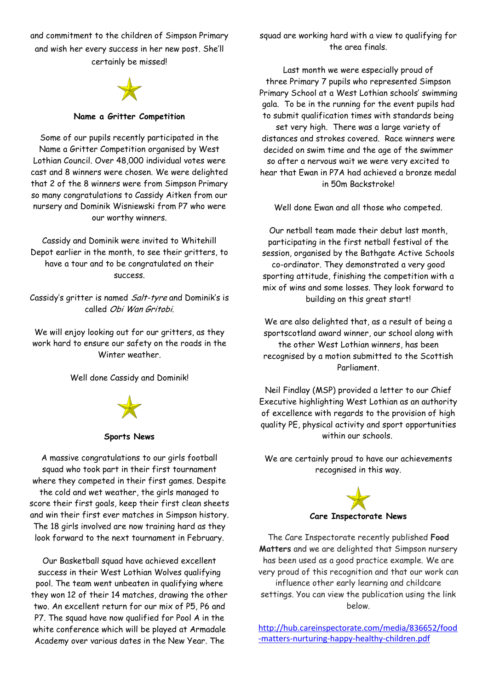and commitment to the children of Simpson Primary and wish her every success in her new post. She'll certainly be missed!



#### **Name a Gritter Competition**

Some of our pupils recently participated in the Name a Gritter Competition organised by West Lothian Council. Over 48,000 individual votes were cast and 8 winners were chosen. We were delighted that 2 of the 8 winners were from Simpson Primary so many congratulations to Cassidy Aitken from our nursery and Dominik Wisniewski from P7 who were our worthy winners.

Cassidy and Dominik were invited to Whitehill Depot earlier in the month, to see their gritters, to have a tour and to be congratulated on their success.

Cassidy's gritter is named Salt-tyre and Dominik's is called Obi Wan Gritobi.

We will enjoy looking out for our gritters, as they work hard to ensure our safety on the roads in the Winter weather.

Well done Cassidy and Dominik!



#### **Sports News**

A massive congratulations to our girls football squad who took part in their first tournament where they competed in their first games. Despite the cold and wet weather, the girls managed to score their first goals, keep their first clean sheets and win their first ever matches in Simpson history. The 18 girls involved are now training hard as they look forward to the next tournament in February.

Our Basketball squad have achieved excellent success in their West Lothian Wolves qualifying pool. The team went unbeaten in qualifying where they won 12 of their 14 matches, drawing the other two. An excellent return for our mix of P5, P6 and P7. The squad have now qualified for Pool A in the white conference which will be played at Armadale Academy over various dates in the New Year. The

squad are working hard with a view to qualifying for the area finals.

Last month we were especially proud of three Primary 7 pupils who represented Simpson Primary School at a West Lothian schools' swimming gala. To be in the running for the event pupils had to submit qualification times with standards being set very high. There was a large variety of distances and strokes covered. Race winners were decided on swim time and the age of the swimmer so after a nervous wait we were very excited to hear that Ewan in P7A had achieved a bronze medal in 50m Backstroke!

Well done Ewan and all those who competed.

Our netball team made their debut last month, participating in the first netball festival of the session, organised by the Bathgate Active Schools co-ordinator. They demonstrated a very good sporting attitude, finishing the competition with a mix of wins and some losses. They look forward to building on this great start!

We are also delighted that, as a result of being a sportscotland award winner, our school along with the other West Lothian winners, has been recognised by a motion submitted to the Scottish Parliament.

Neil Findlay (MSP) provided a letter to our Chief Executive highlighting West Lothian as an authority of excellence with regards to the provision of high quality PE, physical activity and sport opportunities within our schools

We are certainly proud to have our achievements recognised in this way.



The Care Inspectorate recently published **Food Matters** and we are delighted that Simpson nursery has been used as a good practice example. We are very proud of this recognition and that our work can influence other early learning and childcare settings. You can view the publication using the link below.

[http://hub.careinspectorate.com/media/836652/food](http://hub.careinspectorate.com/media/836652/food-matters-nurturing-happy-healthy-children.pdf) [-matters-nurturing-happy-healthy-children.pdf](http://hub.careinspectorate.com/media/836652/food-matters-nurturing-happy-healthy-children.pdf)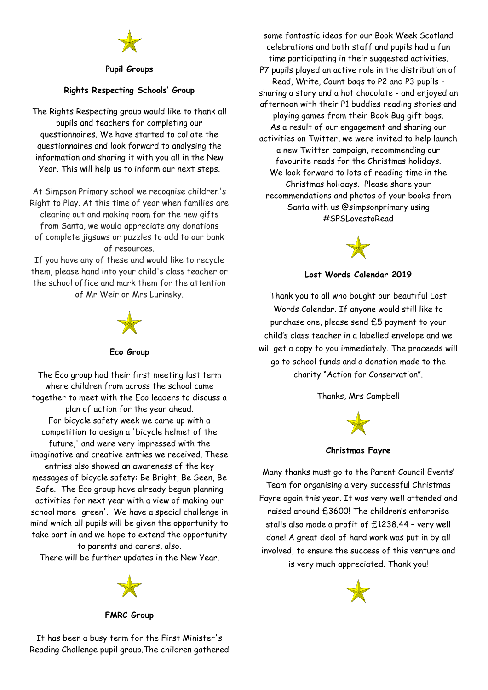

#### **Pupil Groups**

### **Rights Respecting Schools' Group**

The Rights Respecting group would like to thank all pupils and teachers for completing our questionnaires. We have started to collate the questionnaires and look forward to analysing the information and sharing it with you all in the New Year. This will help us to inform our next steps.

At Simpson Primary school we recognise children's Right to Play. At this time of year when families are clearing out and making room for the new gifts from Santa, we would appreciate any donations of complete jigsaws or puzzles to add to our bank of resources.

If you have any of these and would like to recycle them, please hand into your child's class teacher or the school office and mark them for the attention of Mr Weir or Mrs Lurinsky.



#### **Eco Group**

The Eco group had their first meeting last term where children from across the school came together to meet with the Eco leaders to discuss a plan of action for the year ahead. For bicycle safety week we came up with a competition to design a 'bicycle helmet of the future,' and were very impressed with the imaginative and creative entries we received. These entries also showed an awareness of the key messages of bicycle safety: Be Bright, Be Seen, Be Safe. The Eco group have already begun planning activities for next year with a view of making our school more 'green'. We have a special challenge in mind which all pupils will be given the opportunity to take part in and we hope to extend the opportunity to parents and carers, also.

There will be further updates in the New Year.



**FMRC Group**

some fantastic ideas for our Book Week Scotland celebrations and both staff and pupils had a fun time participating in their suggested activities. P7 pupils played an active role in the distribution of Read, Write, Count bags to P2 and P3 pupils sharing a story and a hot chocolate - and enjoyed an afternoon with their P1 buddies reading stories and playing games from their Book Bug gift bags. As a result of our engagement and sharing our activities on Twitter, we were invited to help launch a new Twitter campaign, recommending our favourite reads for the Christmas holidays. We look forward to lots of reading time in the Christmas holidays. Please share your recommendations and photos of your books from Santa with us @simpsonprimary using #SPSLovestoRead



# **Lost Words Calendar 2019**

Thank you to all who bought our beautiful Lost Words Calendar. If anyone would still like to purchase one, please send £5 payment to your child's class teacher in a labelled envelope and we will get a copy to you immediately. The proceeds will go to school funds and a donation made to the charity "Action for Conservation".

Thanks, Mrs Campbell



**Christmas Fayre**

Many thanks must go to the Parent Council Events' Team for organising a very successful Christmas Fayre again this year. It was very well attended and raised around £3600! The children's enterprise stalls also made a profit of £1238.44 – very well done! A great deal of hard work was put in by all involved, to ensure the success of this venture and is very much appreciated. Thank you!



It has been a busy term for the First Minister's Reading Challenge pupil group.The children gathered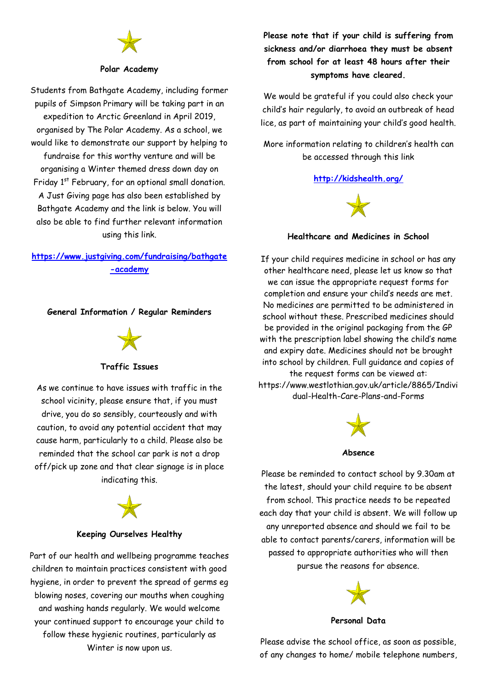#### **Polar Academy**

Students from Bathgate Academy, including former pupils of Simpson Primary will be taking part in an expedition to Arctic Greenland in April 2019, organised by The Polar Academy. As a school, we would like to demonstrate our support by helping to fundraise for this worthy venture and will be organising a Winter themed dress down day on Friday  $1<sup>st</sup>$  February, for an optional small donation. A Just Giving page has also been established by Bathgate Academy and the link is below. You will also be able to find further relevant information using this link.

# **[https://www.justgiving.com/fundraising/bathgate](https://www.justgiving.com/fundraising/bathgate-academy) [-academy](https://www.justgiving.com/fundraising/bathgate-academy)**

**General Information / Regular Reminders**

# **Traffic Issues**

As we continue to have issues with traffic in the school vicinity, please ensure that, if you must drive, you do so sensibly, courteously and with caution, to avoid any potential accident that may cause harm, particularly to a child. Please also be reminded that the school car park is not a drop off/pick up zone and that clear signage is in place indicating this.



### **Keeping Ourselves Healthy**

Part of our health and wellbeing programme teaches children to maintain practices consistent with good hygiene, in order to prevent the spread of germs eg blowing noses, covering our mouths when coughing and washing hands regularly. We would welcome your continued support to encourage your child to follow these hygienic routines, particularly as Winter is now upon us.

**Please note that if your child is suffering from sickness and/or diarrhoea they must be absent from school for at least 48 hours after their symptoms have cleared.**

We would be grateful if you could also check your child's hair regularly, to avoid an outbreak of head lice, as part of maintaining your child's good health.

More information relating to children's health can be accessed through this link

# **<http://kidshealth.org/>**



**Healthcare and Medicines in School**

If your child requires medicine in school or has any other healthcare need, please let us know so that we can issue the appropriate request forms for completion and ensure your child's needs are met. No medicines are permitted to be administered in school without these. Prescribed medicines should be provided in the original packaging from the GP with the prescription label showing the child's name and expiry date. Medicines should not be brought into school by children. Full guidance and copies of the request forms can be viewed at: https://www.westlothian.gov.uk/article/8865/Indivi dual-Health-Care-Plans-and-Forms



#### **Absence**

Please be reminded to contact school by 9.30am at the latest, should your child require to be absent from school. This practice needs to be repeated each day that your child is absent. We will follow up any unreported absence and should we fail to be able to contact parents/carers, information will be passed to appropriate authorities who will then pursue the reasons for absence.



#### **Personal Data**

Please advise the school office, as soon as possible, of any changes to home/ mobile telephone numbers,